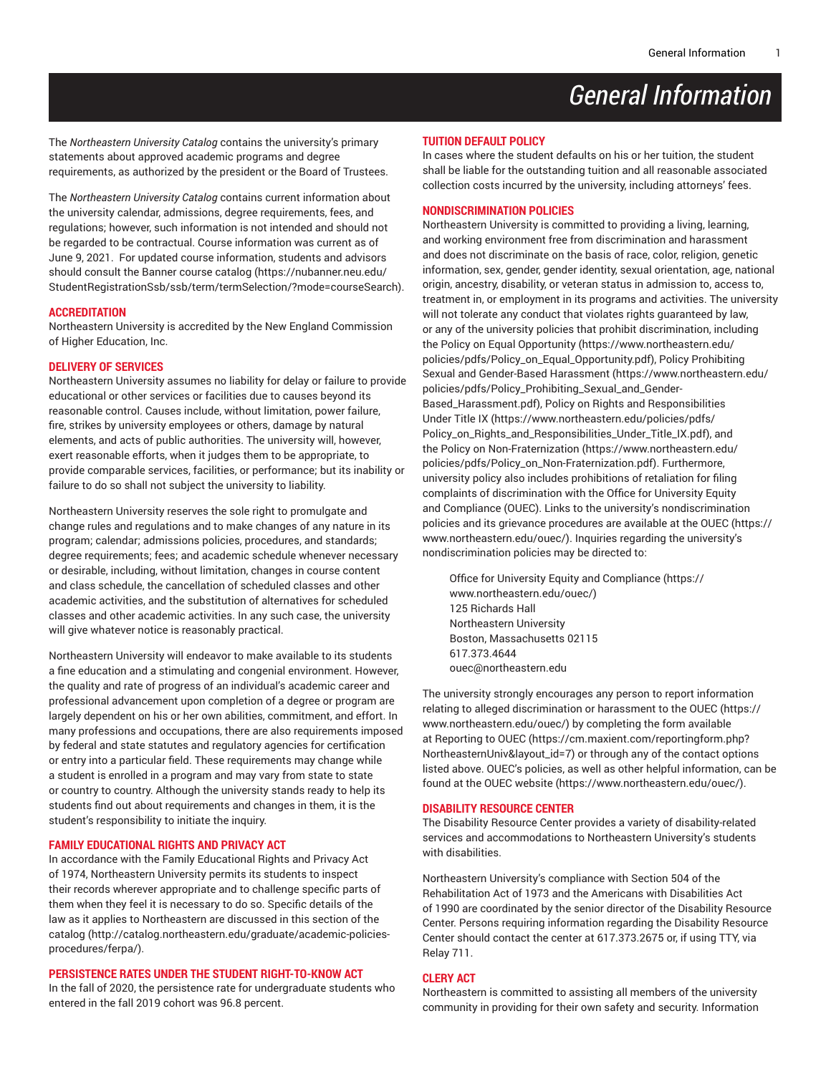# *General Information*

The *Northeastern University Catalog* contains the university's primary statements about approved academic programs and degree requirements, as authorized by the president or the Board of Trustees.

The *Northeastern University Catalog* contains current information about the university calendar, admissions, degree requirements, fees, and regulations; however, such information is not intended and should not be regarded to be contractual. Course information was current as of June 9, 2021. For updated course information, students and advisors should consult the [Banner course catalog \(https://nubanner.neu.edu/](https://nubanner.neu.edu/StudentRegistrationSsb/ssb/term/termSelection/?mode=courseSearch) [StudentRegistrationSsb/ssb/term/termSelection/?mode=courseSearch](https://nubanner.neu.edu/StudentRegistrationSsb/ssb/term/termSelection/?mode=courseSearch)).

#### **ACCREDITATION**

Northeastern University is accredited by the New England Commission of Higher Education, Inc.

#### **DELIVERY OF SERVICES**

Northeastern University assumes no liability for delay or failure to provide educational or other services or facilities due to causes beyond its reasonable control. Causes include, without limitation, power failure, fire, strikes by university employees or others, damage by natural elements, and acts of public authorities. The university will, however, exert reasonable efforts, when it judges them to be appropriate, to provide comparable services, facilities, or performance; but its inability or failure to do so shall not subject the university to liability.

Northeastern University reserves the sole right to promulgate and change rules and regulations and to make changes of any nature in its program; calendar; admissions policies, procedures, and standards; degree requirements; fees; and academic schedule whenever necessary or desirable, including, without limitation, changes in course content and class schedule, the cancellation of scheduled classes and other academic activities, and the substitution of alternatives for scheduled classes and other academic activities. In any such case, the university will give whatever notice is reasonably practical.

Northeastern University will endeavor to make available to its students a fine education and a stimulating and congenial environment. However, the quality and rate of progress of an individual's academic career and professional advancement upon completion of a degree or program are largely dependent on his or her own abilities, commitment, and effort. In many professions and occupations, there are also requirements imposed by federal and state statutes and regulatory agencies for certification or entry into a particular field. These requirements may change while a student is enrolled in a program and may vary from state to state or country to country. Although the university stands ready to help its students find out about requirements and changes in them, it is the student's responsibility to initiate the inquiry.

#### **FAMILY EDUCATIONAL RIGHTS AND PRIVACY ACT**

In accordance with the Family Educational Rights and Privacy Act of 1974, Northeastern University permits its students to inspect their records wherever appropriate and to challenge specific parts of them when they feel it is necessary to do so. Specific details of the law as it applies to Northeastern are discussed [in this section of the](http://catalog.northeastern.edu/graduate/academic-policies-procedures/ferpa/) [catalog](http://catalog.northeastern.edu/graduate/academic-policies-procedures/ferpa/) ([http://catalog.northeastern.edu/graduate/academic-policies](http://catalog.northeastern.edu/graduate/academic-policies-procedures/ferpa/)[procedures/ferpa/\)](http://catalog.northeastern.edu/graduate/academic-policies-procedures/ferpa/).

## **PERSISTENCE RATES UNDER THE STUDENT RIGHT-TO-KNOW ACT**

In the fall of 2020, the persistence rate for undergraduate students who entered in the fall 2019 cohort was 96.8 percent.

### **TUITION DEFAULT POLICY**

In cases where the student defaults on his or her tuition, the student shall be liable for the outstanding tuition and all reasonable associated collection costs incurred by the university, including attorneys' fees.

## **NONDISCRIMINATION POLICIES**

Northeastern University is committed to providing a living, learning, and working environment free from discrimination and harassment and does not discriminate on the basis of race, color, religion, genetic information, sex, gender, gender identity, sexual orientation, age, national origin, ancestry, disability, or veteran status in admission to, access to, treatment in, or employment in its programs and activities. The university will not tolerate any conduct that violates rights guaranteed by law, or any of the university policies that prohibit discrimination, including the Policy on Equal [Opportunity](https://www.northeastern.edu/policies/pdfs/Policy_on_Equal_Opportunity.pdf) [\(https://www.northeastern.edu/](https://www.northeastern.edu/policies/pdfs/Policy_on_Equal_Opportunity.pdf) [policies/pdfs/Policy\\_on\\_Equal\\_Opportunity.pdf\)](https://www.northeastern.edu/policies/pdfs/Policy_on_Equal_Opportunity.pdf), Policy [Prohibiting](https://www.northeastern.edu/policies/pdfs/Policy_Prohibiting_Sexual_and_Gender-Based_Harassment.pdf) [Sexual and Gender-Based Harassment](https://www.northeastern.edu/policies/pdfs/Policy_Prohibiting_Sexual_and_Gender-Based_Harassment.pdf) [\(https://www.northeastern.edu/](https://www.northeastern.edu/policies/pdfs/Policy_Prohibiting_Sexual_and_Gender-Based_Harassment.pdf) [policies/pdfs/Policy\\_Prohibiting\\_Sexual\\_and\\_Gender-](https://www.northeastern.edu/policies/pdfs/Policy_Prohibiting_Sexual_and_Gender-Based_Harassment.pdf)[Based\\_Harassment.pdf\)](https://www.northeastern.edu/policies/pdfs/Policy_Prohibiting_Sexual_and_Gender-Based_Harassment.pdf), Policy on Rights and [Responsibilities](https://www.northeastern.edu/policies/pdfs/Policy_on_Rights_and_Responsibilities_Under_Title_IX.pdf) [Under](https://www.northeastern.edu/policies/pdfs/Policy_on_Rights_and_Responsibilities_Under_Title_IX.pdf) Title IX ([https://www.northeastern.edu/policies/pdfs/](https://www.northeastern.edu/policies/pdfs/Policy_on_Rights_and_Responsibilities_Under_Title_IX.pdf) [Policy\\_on\\_Rights\\_and\\_Responsibilities\\_Under\\_Title\\_IX.pdf](https://www.northeastern.edu/policies/pdfs/Policy_on_Rights_and_Responsibilities_Under_Title_IX.pdf)), and the Policy on [Non-Fraternization](https://www.northeastern.edu/policies/pdfs/Policy_on_Non-Fraternization.pdf) ([https://www.northeastern.edu/](https://www.northeastern.edu/policies/pdfs/Policy_on_Non-Fraternization.pdf) [policies/pdfs/Policy\\_on\\_Non-Fraternization.pdf](https://www.northeastern.edu/policies/pdfs/Policy_on_Non-Fraternization.pdf)). Furthermore, university policy also includes prohibitions of retaliation for filing complaints of discrimination with the Office for University Equity and Compliance (OUEC). Links to the university's nondiscrimination policies and its grievance procedures are available at [the OUEC](https://www.northeastern.edu/ouec/) ([https://](https://www.northeastern.edu/ouec/) [www.northeastern.edu/ouec/](https://www.northeastern.edu/ouec/)). Inquiries regarding the university's nondiscrimination policies may be directed to:

Office for University Equity and [Compliance \(https://](https://www.northeastern.edu/ouec/) [www.northeastern.edu/ouec/](https://www.northeastern.edu/ouec/)) 125 Richards Hall Northeastern University Boston, Massachusetts 02115 617.373.4644 [ouec@northeastern.edu](mailto:ouec@northeastern.edu)

The university strongly encourages any person to report information relating to alleged discrimination or harassment to the [OUEC \(https://](https://www.northeastern.edu/ouec/) [www.northeastern.edu/ouec/](https://www.northeastern.edu/ouec/)) by completing the form available at [Reporting](https://cm.maxient.com/reportingform.php?NortheasternUniv&layout_id=7) to OUEC [\(https://cm.maxient.com/reportingform.php?](https://cm.maxient.com/reportingform.php?NortheasternUniv&layout_id=7) [NortheasternUniv&layout\\_id=7](https://cm.maxient.com/reportingform.php?NortheasternUniv&layout_id=7)) or through any of the contact options listed above. OUEC's policies, as well as other helpful information, can be found at [the OUEC website \(https://www.northeastern.edu/ouec/](https://www.northeastern.edu/ouec/)).

#### **DISABILITY RESOURCE CENTER**

The Disability Resource Center provides a variety of disability-related services and accommodations to Northeastern University's students with disabilities.

Northeastern University's compliance with Section 504 of the Rehabilitation Act of 1973 and the Americans with Disabilities Act of 1990 are coordinated by the senior director of the Disability Resource Center. Persons requiring information regarding the Disability Resource Center should contact the center at 617.373.2675 or, if using TTY, via Relay 711.

## **CLERY ACT**

Northeastern is committed to assisting all members of the university community in providing for their own safety and security. Information